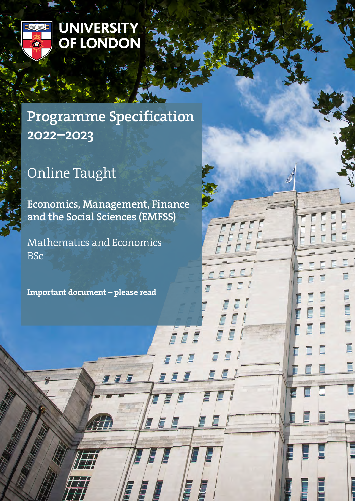

## **UNIVERSITY** OF LONDON

## Programme Specification 2022–2023

# Online Taught

Economics, Management, Finance and the Social Sciences (EMFSS)

7 F F

E

E

É

Mathematics and Economics **BSc** 

Important document – please read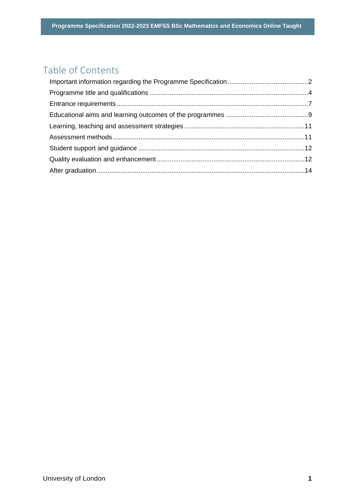## Table of Contents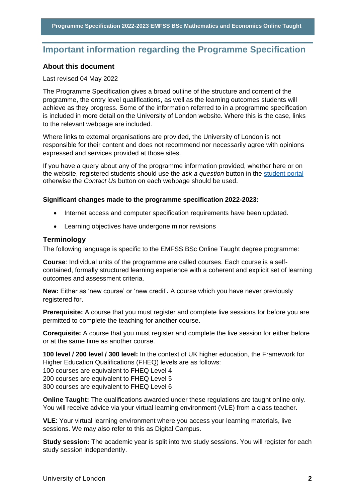## <span id="page-2-0"></span>**Important information regarding the Programme Specification**

## **About this document**

## Last revised 04 May 2022

The Programme Specification gives a broad outline of the structure and content of the programme, the entry level qualifications, as well as the learning outcomes students will achieve as they progress. Some of the information referred to in a programme specification is included in more detail on the University of London website. Where this is the case, links to the relevant webpage are included.

Where links to external organisations are provided, the University of London is not responsible for their content and does not recommend nor necessarily agree with opinions expressed and services provided at those sites.

If you have a query about any of the programme information provided, whether here or on the website, registered students should use the *ask a question* button in the [student portal](https://my.london.ac.uk/) otherwise the *Contact Us* button on each webpage should be used.

## **Significant changes made to the programme specification 2022-2023:**

- Internet access and computer specification requirements have been updated.
- Learning objectives have undergone minor revisions

## **Terminology**

The following language is specific to the EMFSS BSc Online Taught degree programme:

**Course**: Individual units of the programme are called courses. Each course is a selfcontained, formally structured learning experience with a coherent and explicit set of learning outcomes and assessment criteria.

**New:** Either as 'new course' or 'new credit'**.** A course which you have never previously registered for.

**Prerequisite:** A course that you must register and complete live sessions for before you are permitted to complete the teaching for another course.

**Corequisite:** A course that you must register and complete the live session for either before or at the same time as another course.

**100 level / 200 level / 300 level:** In the context of UK higher education, the Framework for Higher Education Qualifications (FHEQ) levels are as follows: 100 courses are equivalent to FHEQ Level 4

200 courses are equivalent to FHEQ Level 5

300 courses are equivalent to FHEQ Level 6

**Online Taught:** The qualifications awarded under these regulations are taught online only. You will receive advice via your virtual learning environment (VLE) from a class teacher.

**VLE**: Your virtual learning environment where you access your learning materials, live sessions. We may also refer to this as Digital Campus.

**Study session:** The academic year is split into two study sessions. You will register for each study session independently.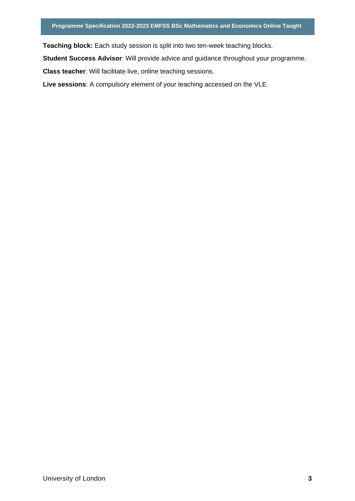**Teaching block:** Each study session is split into two ten-week teaching blocks.

**Student Success Advisor**: Will provide advice and guidance throughout your programme.

**Class teacher**: Will facilitate live, online teaching sessions.

**Live sessions**: A compulsory element of your teaching accessed on the VLE.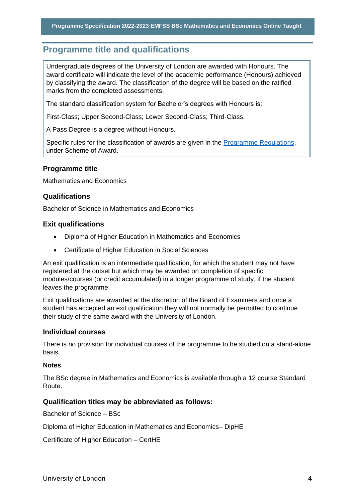## <span id="page-4-0"></span>**Programme title and qualifications**

Undergraduate degrees of the University of London are awarded with Honours. The award certificate will indicate the level of the academic performance (Honours) achieved by classifying the award. The classification of the degree will be based on the ratified marks from the completed assessments.

The standard classification system for Bachelor's degrees with Honours is:

First-Class; Upper Second-Class; Lower Second-Class; Third-Class.

A Pass Degree is a degree without Honours.

Specific rules for the classification of awards are given in the [Programme Regulations,](https://london.ac.uk/current-students/programme-documents/regulations) under Scheme of Award.

## **Programme title**

Mathematics and Economics

## **Qualifications**

Bachelor of Science in Mathematics and Economics

## **Exit qualifications**

- Diploma of Higher Education in Mathematics and Economics
- Certificate of Higher Education in Social Sciences

An exit qualification is an intermediate qualification, for which the student may not have registered at the outset but which may be awarded on completion of specific modules/courses (or credit accumulated) in a longer programme of study, if the student leaves the programme.

Exit qualifications are awarded at the discretion of the Board of Examiners and once a student has accepted an exit qualification they will not normally be permitted to continue their study of the same award with the University of London.

#### **Individual courses**

There is no provision for individual courses of the programme to be studied on a stand-alone basis.

#### **Notes**

The BSc degree in Mathematics and Economics is available through a 12 course Standard Route.

## **Qualification titles may be abbreviated as follows:**

Bachelor of Science – BSc

Diploma of Higher Education in Mathematics and Economics– DipHE

Certificate of Higher Education – CertHE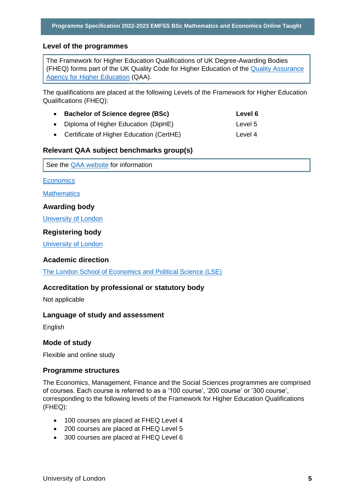## **Level of the programmes**

The Framework for Higher Education Qualifications of UK Degree-Awarding Bodies (FHEQ) forms part of the UK Quality Code for Higher Education of the [Quality Assurance](http://www.qaa.ac.uk/en)  [Agency for Higher Education](http://www.qaa.ac.uk/en) (QAA).

The qualifications are placed at the following Levels of the Framework for Higher Education Qualifications (FHEQ):

| • Bachelor of Science degree (BSc)         | Level 6 |
|--------------------------------------------|---------|
| • Diploma of Higher Education (DipHE)      | Level 5 |
| • Certificate of Higher Education (CertHE) | Level 4 |

## **Relevant QAA subject benchmarks group(s)**

See the [QAA website](http://www.qaa.ac.uk/) for information

**[Economics](https://www.qaa.ac.uk/docs/qaa/subject-benchmark-statements/subject-benchmark-statement-economics.pdf?sfvrsn=31e2cb81_5)** 

**[Mathematics](https://www.qaa.ac.uk/docs/qaa/subject-benchmark-statements/subject-benchmark-statement-mathematics-statistics-and-operational-research.pdf?sfvrsn=e8f3c881_4)** 

#### **Awarding body**

[University of London](http://www.london.ac.uk/)

## **Registering body**

[University of London](http://www.london.ac.uk/)

## **Academic direction**

[The London School of Economics and Political Science \(LSE\)](http://www.lse.ac.uk/home.aspx) 

## **Accreditation by professional or statutory body**

Not applicable

## **Language of study and assessment**

English

## **Mode of study**

Flexible and online study

## **Programme structures**

The Economics, Management, Finance and the Social Sciences programmes are comprised of courses. Each course is referred to as a '100 course', '200 course' or '300 course', corresponding to the following levels of the Framework for Higher Education Qualifications (FHEQ):

- 100 courses are placed at FHEQ Level 4
- 200 courses are placed at FHEQ Level 5
- 300 courses are placed at FHEQ Level 6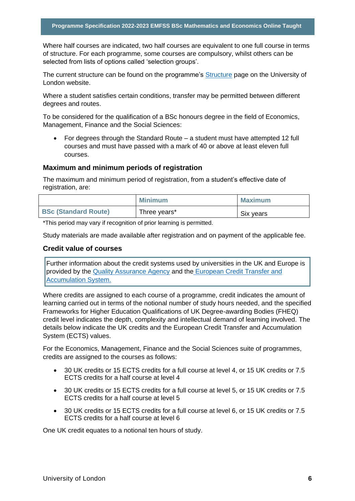Where half courses are indicated, two half courses are equivalent to one full course in terms of structure. For each programme, some courses are compulsory, whilst others can be selected from lists of options called 'selection groups'.

The current structure can be found on the programme's **Structure** page on the University of London website.

Where a student satisfies certain conditions, transfer may be permitted between different degrees and routes.

To be considered for the qualification of a BSc honours degree in the field of Economics, Management, Finance and the Social Sciences:

• For degrees through the Standard Route – a student must have attempted 12 full courses and must have passed with a mark of 40 or above at least eleven full courses.

#### **Maximum and minimum periods of registration**

The maximum and minimum period of registration, from a student's effective date of registration, are:

|                             | <b>Minimum</b> | <b>Maximum</b> |
|-----------------------------|----------------|----------------|
| <b>BSc (Standard Route)</b> | Three years*   | Six years      |

\*This period may vary if recognition of prior learning is permitted.

Study materials are made available after registration and on payment of the applicable fee.

## **Credit value of courses**

Further information about the credit systems used by universities in the UK and Europe is provided by the [Quality Assurance Agency](http://www.qaa.ac.uk/en) and the [European Credit Transfer and](http://ec.europa.eu/education/resources/european-credit-transfer-accumulation-system_en.htm)  [Accumulation System.](http://ec.europa.eu/education/resources/european-credit-transfer-accumulation-system_en.htm)

Where credits are assigned to each course of a programme, credit indicates the amount of learning carried out in terms of the notional number of study hours needed, and the specified Frameworks for Higher Education Qualifications of UK Degree-awarding Bodies (FHEQ) credit level indicates the depth, complexity and intellectual demand of learning involved. The details below indicate the UK credits and the European Credit Transfer and Accumulation System (ECTS) values.

For the Economics, Management, Finance and the Social Sciences suite of programmes, credits are assigned to the courses as follows:

- 30 UK credits or 15 ECTS credits for a full course at level 4, or 15 UK credits or 7.5 ECTS credits for a half course at level 4
- 30 UK credits or 15 ECTS credits for a full course at level 5, or 15 UK credits or 7.5 ECTS credits for a half course at level 5
- 30 UK credits or 15 ECTS credits for a full course at level 6, or 15 UK credits or 7.5 ECTS credits for a half course at level 6

One UK credit equates to a notional ten hours of study.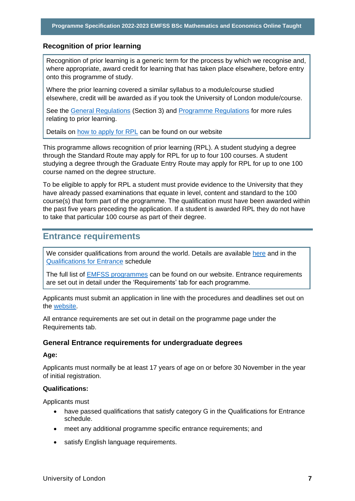## **Recognition of prior learning**

Recognition of prior learning is a generic term for the process by which we recognise and, where appropriate, award credit for learning that has taken place elsewhere, before entry onto this programme of study.

Where the prior learning covered a similar syllabus to a module/course studied elsewhere, credit will be awarded as if you took the University of London module/course.

See the [General Regulations](https://london.ac.uk/current-students/programme-documents/regulations) (Section 3) and [Programme Regulations](https://london.ac.uk/current-studentsprogramme-documents/regulations) for more rules relating to prior learning.

Details on [how to apply for RPL](https://london.ac.uk/applications/how-apply/recognition-prior-learning/recognition-and-accreditation-prior-learning-0) can be found on our website

This programme allows recognition of prior learning (RPL). A student studying a degree through the Standard Route may apply for RPL for up to four 100 courses. A student studying a degree through the Graduate Entry Route may apply for RPL for up to one 100 course named on the degree structure.

To be eligible to apply for RPL a student must provide evidence to the University that they have already passed examinations that equate in level, content and standard to the 100 course(s) that form part of the programme. The qualification must have been awarded within the past five years preceding the application. If a student is awarded RPL they do not have to take that particular 100 course as part of their degree.

## <span id="page-7-0"></span>**Entrance requirements**

We consider qualifications from around the world. Details are available [here](https://london.ac.uk/applications/how-apply/am-i-qualified) and in the [Qualifications for Entrance](https://london.ac.uk/entrance-qualifications) schedule

The full list of **EMFSS** programmes can be found on our website. Entrance requirements are set out in detail under the 'Requirements' tab for each programme.

Applicants must submit an application in line with the procedures and deadlines set out on the [website.](https://london.ac.uk/applications/how-apply)

All entrance requirements are set out in detail on the programme page under the Requirements tab.

## **General Entrance requirements for undergraduate degrees**

## **Age:**

Applicants must normally be at least 17 years of age on or before 30 November in the year of initial registration.

## **Qualifications:**

Applicants must

- have passed qualifications that satisfy category G in the Qualifications for Entrance schedule.
- meet any additional programme specific entrance requirements; and
- satisfy English language requirements.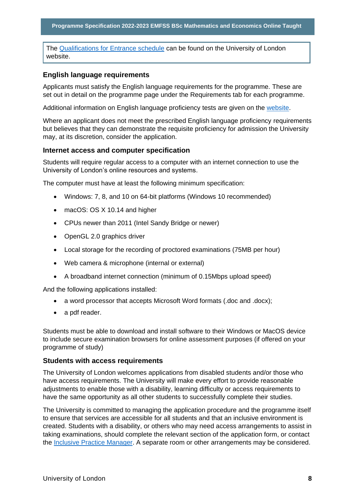The [Qualifications for Entrance schedule](https://london.ac.uk/entrance-qualifications) can be found on the University of London website.

## **English language requirements**

Applicants must satisfy the English language requirements for the programme. These are set out in detail on the programme page under the Requirements tab for each programme.

Additional information on English language proficiency tests are given on the [website.](https://london.ac.uk/applications/how-apply/english-requirements)

Where an applicant does not meet the prescribed English language proficiency requirements but believes that they can demonstrate the requisite proficiency for admission the University may, at its discretion, consider the application.

## **Internet access and computer specification**

Students will require regular access to a computer with an internet connection to use the University of London's online resources and systems.

The computer must have at least the following minimum specification:

- Windows: 7, 8, and 10 on 64-bit platforms (Windows 10 recommended)
- macOS: OS X 10.14 and higher
- CPUs newer than 2011 (Intel Sandy Bridge or newer)
- OpenGL 2.0 graphics driver
- Local storage for the recording of proctored examinations (75MB per hour)
- Web camera & microphone (internal or external)
- A broadband internet connection (minimum of 0.15Mbps upload speed)

And the following applications installed:

- a word processor that accepts Microsoft Word formats (.doc and .docx);
- a pdf reader.

Students must be able to download and install software to their Windows or MacOS device to include secure examination browsers for online assessment purposes (if offered on your programme of study)

#### **Students with access requirements**

The University of London welcomes applications from disabled students and/or those who have access requirements. The University will make every effort to provide reasonable adjustments to enable those with a disability, learning difficulty or access requirements to have the same opportunity as all other students to successfully complete their studies.

The University is committed to managing the application procedure and the programme itself to ensure that services are accessible for all students and that an inclusive environment is created. Students with a disability, or others who may need access arrangements to assist in taking examinations, should complete the relevant section of the application form, or contact the [Inclusive Practice Manager.](mailto:special.arrangements@london.ac.uk) A separate room or other arrangements may be considered.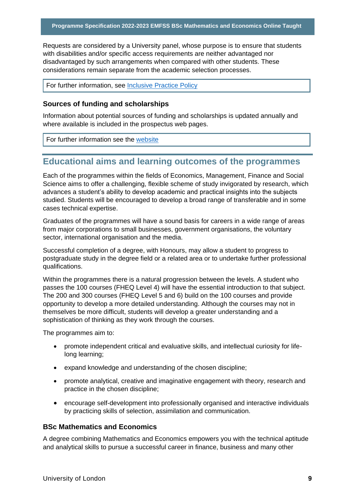Requests are considered by a University panel, whose purpose is to ensure that students with disabilities and/or specific access requirements are neither advantaged nor disadvantaged by such arrangements when compared with other students. These considerations remain separate from the academic selection processes.

For further information, see [Inclusive Practice Policy](https://london.ac.uk/applications/how-it-works/inclusive-practice-special-arrangements)

## **Sources of funding and scholarships**

Information about potential sources of funding and scholarships is updated annually and where available is included in the prospectus web pages.

For further information see the [website](https://london.ac.uk/applications/funding-your-study)

## <span id="page-9-0"></span>**Educational aims and learning outcomes of the programmes**

Each of the programmes within the fields of Economics, Management, Finance and Social Science aims to offer a challenging, flexible scheme of study invigorated by research, which advances a student's ability to develop academic and practical insights into the subjects studied. Students will be encouraged to develop a broad range of transferable and in some cases technical expertise.

Graduates of the programmes will have a sound basis for careers in a wide range of areas from major corporations to small businesses, government organisations, the voluntary sector, international organisation and the media.

Successful completion of a degree, with Honours, may allow a student to progress to postgraduate study in the degree field or a related area or to undertake further professional qualifications.

Within the programmes there is a natural progression between the levels. A student who passes the 100 courses (FHEQ Level 4) will have the essential introduction to that subject. The 200 and 300 courses (FHEQ Level 5 and 6) build on the 100 courses and provide opportunity to develop a more detailed understanding. Although the courses may not in themselves be more difficult, students will develop a greater understanding and a sophistication of thinking as they work through the courses.

The programmes aim to:

- promote independent critical and evaluative skills, and intellectual curiosity for lifelong learning;
- expand knowledge and understanding of the chosen discipline;
- promote analytical, creative and imaginative engagement with theory, research and practice in the chosen discipline;
- encourage self-development into professionally organised and interactive individuals by practicing skills of selection, assimilation and communication.

## **BSc Mathematics and Economics**

A degree combining Mathematics and Economics empowers you with the technical aptitude and analytical skills to pursue a successful career in finance, business and many other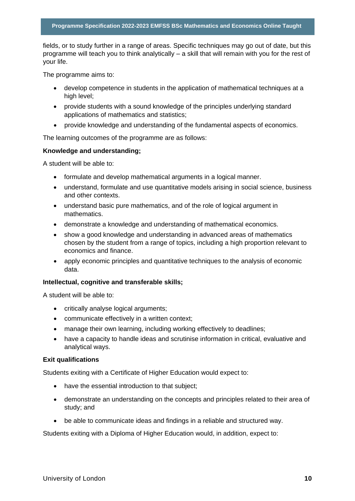fields, or to study further in a range of areas. Specific techniques may go out of date, but this programme will teach you to think analytically – a skill that will remain with you for the rest of your life.

The programme aims to:

- develop competence in students in the application of mathematical techniques at a high level;
- provide students with a sound knowledge of the principles underlying standard applications of mathematics and statistics;
- provide knowledge and understanding of the fundamental aspects of economics.

The learning outcomes of the programme are as follows:

## **Knowledge and understanding;**

A student will be able to:

- formulate and develop mathematical arguments in a logical manner.
- understand, formulate and use quantitative models arising in social science, business and other contexts.
- understand basic pure mathematics, and of the role of logical argument in mathematics.
- demonstrate a knowledge and understanding of mathematical economics.
- show a good knowledge and understanding in advanced areas of mathematics chosen by the student from a range of topics, including a high proportion relevant to economics and finance.
- apply economic principles and quantitative techniques to the analysis of economic data.

#### **Intellectual, cognitive and transferable skills;**

A student will be able to:

- critically analyse logical arguments;
- communicate effectively in a written context;
- manage their own learning, including working effectively to deadlines;
- have a capacity to handle ideas and scrutinise information in critical, evaluative and analytical ways.

#### **Exit qualifications**

Students exiting with a Certificate of Higher Education would expect to:

- have the essential introduction to that subject;
- demonstrate an understanding on the concepts and principles related to their area of study; and
- be able to communicate ideas and findings in a reliable and structured way.

Students exiting with a Diploma of Higher Education would, in addition, expect to: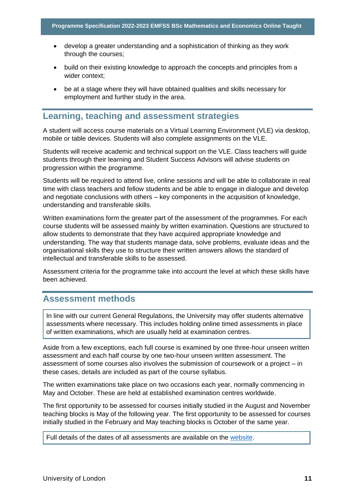- develop a greater understanding and a sophistication of thinking as they work through the courses;
- build on their existing knowledge to approach the concepts and principles from a wider context;
- be at a stage where they will have obtained qualities and skills necessary for employment and further study in the area.

## <span id="page-11-0"></span>**Learning, teaching and assessment strategies**

A student will access course materials on a Virtual Learning Environment (VLE) via desktop, mobile or table devices. Students will also complete assignments on the VLE.

Students will receive academic and technical support on the VLE. Class teachers will guide students through their learning and Student Success Advisors will advise students on progression within the programme.

Students will be required to attend live, online sessions and will be able to collaborate in real time with class teachers and fellow students and be able to engage in dialogue and develop and negotiate conclusions with others – key components in the acquisition of knowledge, understanding and transferable skills.

Written examinations form the greater part of the assessment of the programmes. For each course students will be assessed mainly by written examination. Questions are structured to allow students to demonstrate that they have acquired appropriate knowledge and understanding. The way that students manage data, solve problems, evaluate ideas and the organisational skills they use to structure their written answers allows the standard of intellectual and transferable skills to be assessed.

Assessment criteria for the programme take into account the level at which these skills have been achieved.

## <span id="page-11-1"></span>**Assessment methods**

In line with our current General Regulations, the University may offer students alternative assessments where necessary. This includes holding online timed assessments in place of written examinations, which are usually held at examination centres.

Aside from a few exceptions, each full course is examined by one three-hour unseen written assessment and each half course by one two-hour unseen written assessment. The assessment of some courses also involves the submission of coursework or a project – in these cases, details are included as part of the course syllabus.

The written examinations take place on two occasions each year, normally commencing in May and October. These are held at established examination centres worldwide.

The first opportunity to be assessed for courses initially studied in the August and November teaching blocks is May of the following year. The first opportunity to be assessed for courses initially studied in the February and May teaching blocks is October of the same year.

Full details of the dates of all assessments are available on the [website.](https://london.ac.uk/current-students/examinations/exam-timetables)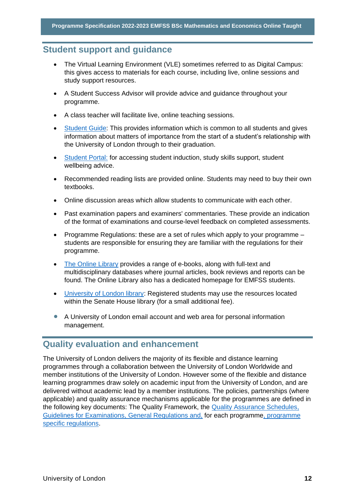## <span id="page-12-0"></span>**Student support and guidance**

- The Virtual Learning Environment (VLE) sometimes referred to as Digital Campus: this gives access to materials for each course, including live, online sessions and study support resources.
- A Student Success Advisor will provide advice and guidance throughout your programme.
- A class teacher will facilitate live, online teaching sessions.
- Student Guide: This provides information which is common to all students and gives information about matters of importance from the start of a student's relationship with the University of London through to their graduation.
- Student Portal: for accessing student induction, study skills support, student wellbeing advice.
- Recommended reading lists are provided online. Students may need to buy their own textbooks.
- Online discussion areas which allow students to communicate with each other.
- Past examination papers and examiners' commentaries. These provide an indication of the format of examinations and course-level feedback on completed assessments.
- Programme Regulations: these are a set of rules which apply to your programme students are responsible for ensuring they are familiar with the regulations for their programme.
- The Online Library provides a range of e-books, along with full-text and multidisciplinary databases where journal articles, book reviews and reports can be found. The Online Library also has a dedicated homepage for EMFSS students.
- University of London library: Registered students may use the resources located within the Senate House library (for a small additional fee).
- A University of London email account and web area for personal information management.

## <span id="page-12-1"></span>**Quality evaluation and enhancement**

The University of London delivers the majority of its flexible and distance learning programmes through a collaboration between the University of London Worldwide and member institutions of the University of London. However some of the flexible and distance learning programmes draw solely on academic input from the University of London, and are delivered without academic lead by a member institutions. The policies, partnerships (where applicable) and quality assurance mechanisms applicable for the programmes are defined in the following key documents: The Quality Framework, the Quality Assurance Schedules, Guidelines for Examinations, General Regulations and, for each programme, programme specific regulations.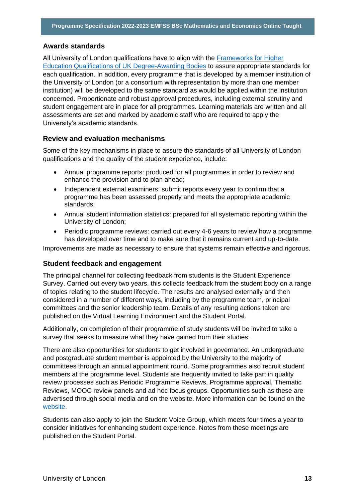## **Awards standards**

All University of London qualifications have to align with the Frameworks for Higher Education Qualifications of UK Degree-Awarding Bodies to assure appropriate standards for each qualification. In addition, every programme that is developed by a member institution of the University of London (or a consortium with representation by more than one member institution) will be developed to the same standard as would be applied within the institution concerned. Proportionate and robust approval procedures, including external scrutiny and student engagement are in place for all programmes. Learning materials are written and all assessments are set and marked by academic staff who are required to apply the University's academic standards.

## **Review and evaluation mechanisms**

Some of the key mechanisms in place to assure the standards of all University of London qualifications and the quality of the student experience, include:

- Annual programme reports: produced for all programmes in order to review and enhance the provision and to plan ahead;
- Independent external examiners: submit reports every year to confirm that a programme has been assessed properly and meets the appropriate academic standards;
- Annual student information statistics: prepared for all systematic reporting within the University of London;
- Periodic programme reviews: carried out every 4-6 years to review how a programme has developed over time and to make sure that it remains current and up-to-date.

Improvements are made as necessary to ensure that systems remain effective and rigorous.

## **Student feedback and engagement**

The principal channel for collecting feedback from students is the Student Experience Survey. Carried out every two years, this collects feedback from the student body on a range of topics relating to the student lifecycle. The results are analysed externally and then considered in a number of different ways, including by the programme team, principal committees and the senior leadership team. Details of any resulting actions taken are published on the Virtual Learning Environment and the Student Portal.

Additionally, on completion of their programme of study students will be invited to take a survey that seeks to measure what they have gained from their studies.

There are also opportunities for students to get involved in governance. An undergraduate and postgraduate student member is appointed by the University to the majority of committees through an annual appointment round. Some programmes also recruit student members at the programme level. Students are frequently invited to take part in quality review processes such as Periodic Programme Reviews, Programme approval, Thematic Reviews, MOOC review panels and ad hoc focus groups. Opportunities such as these are advertised through social media and on the website. More information can be found on the website.

Students can also apply to join the Student Voice Group, which meets four times a year to consider initiatives for enhancing student experience. Notes from these meetings are published on the Student Portal.